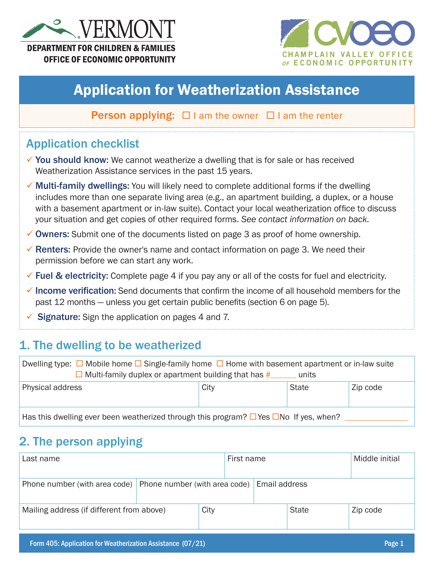



# Application for Weatherization Assistance

**Person applying:**  $\Box$  I am the owner  $\Box$  I am the renter

# Application checklist

- $\checkmark$  You should know: We cannot weatherize a dwelling that is for sale or has received Weatherization Assistance services in the past 15 years.
- ✔ Multi-family dwellings: You will likely need to complete additional forms if the dwelling includes more than one separate living area (e.g., an apartment building, a duplex, or a house with a basement apartment or in-law suite). Contact your local weatherization office to discuss your situation and get copies of other required forms. *See contact information on back.*
- $\checkmark$  Owners: Submit one of the documents listed on page 3 as proof of home ownership.
- $\checkmark$  Renters: Provide the owner's name and contact information on page 3. We need their permission before we can start any work.
- $\checkmark$  Fuel & electricity: Complete page 4 if you pay any or all of the costs for fuel and electricity.
- $\checkmark$  Income verification: Send documents that confirm the income of all household members for the past 12 months — unless you get certain public benefits (section 6 on page 5).
- Signature: Sign the application on pages 4 and 7.

### 1. The dwelling to be weatherized

| Dwelling type: $\Box$ Mobile home $\Box$ Single-family home $\Box$ Home with basement apartment or in-law suite<br>$\Box$ Multi-family duplex or apartment building that has #<br>units |  |  |  |
|-----------------------------------------------------------------------------------------------------------------------------------------------------------------------------------------|--|--|--|
| Physical address<br>City<br><b>State</b><br>Zip code                                                                                                                                    |  |  |  |
| Has this dwelling ever been weatherized through this program? $\Box$ Yes $\Box$ No If yes, when?                                                                                        |  |  |  |

### 2. The person applying

| Last name                                 |                               | First name |               |  |              | Middle initial |          |
|-------------------------------------------|-------------------------------|------------|---------------|--|--------------|----------------|----------|
| Phone number (with area code)             | Phone number (with area code) |            | Email address |  |              |                |          |
| Mailing address (if different from above) | City                          |            |               |  | <b>State</b> |                | Zip code |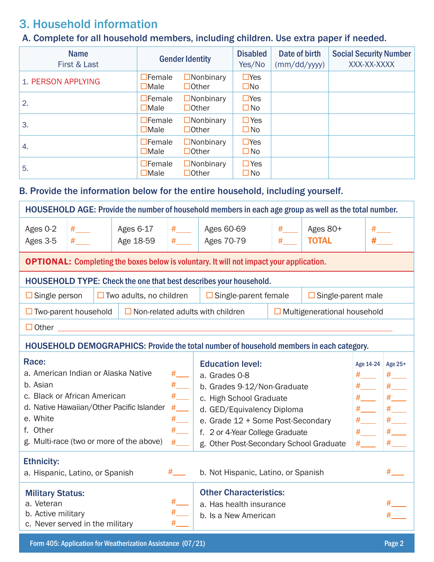# 3. Household information

### A. Complete for all household members, including children. Use extra paper if needed.

| <b>Name</b><br>First & Last | <b>Gender Identity</b>          |                                  | <b>Disabled</b><br>Yes/No  | Date of birth<br>(mm/dd/yyyy) | <b>Social Security Number</b><br>XXX-XX-XXXX |
|-----------------------------|---------------------------------|----------------------------------|----------------------------|-------------------------------|----------------------------------------------|
| 1. PERSON APPLYING          | $\Box$ Female<br>$\Box$ Male    | $\Box$ Nonbinary<br>$\Box$ Other | $\Box$ Yes<br>$\square$ No |                               |                                              |
| 2.                          | $\Box$ Female<br>$\Box$ Male    | $\Box$ Nonbinary<br>$\Box$ Other | $\Box$ Yes<br>$\square$ No |                               |                                              |
| 3.                          | $\Box$ Female<br>$\Box$ Male    | $\Box$ Nonbinary<br>$\Box$ Other | $\Box$ Yes<br>$\square$ No |                               |                                              |
| 4.                          | $\Box$ Female<br>$\square$ Male | $\Box$ Nonbinary<br>$\Box$ Other | $\Box$ Yes<br>$\square$ No |                               |                                              |
| 5.                          | $\Box$ Female<br>$\Box$ Male    | $\Box$ Nonbinary<br>$\Box$ Other | $\Box$ Yes<br>$\square$ No |                               |                                              |

### B. Provide the information below for the entire household, including yourself.

|                                                                                                                                                                                                                                                                   |                                                                                                                                                                                                                                                                                            |                           | HOUSEHOLD AGE: Provide the number of household members in each age group as well as the total number. |                                   |                                                               |      |  |
|-------------------------------------------------------------------------------------------------------------------------------------------------------------------------------------------------------------------------------------------------------------------|--------------------------------------------------------------------------------------------------------------------------------------------------------------------------------------------------------------------------------------------------------------------------------------------|---------------------------|-------------------------------------------------------------------------------------------------------|-----------------------------------|---------------------------------------------------------------|------|--|
| Ages 0-2<br>Ages 3-5                                                                                                                                                                                                                                              | Ages 6-17<br>Age 18-59                                                                                                                                                                                                                                                                     | #                         | Ages 60-69<br>Ages 70-79                                                                              | #<br>#                            | Ages 80+<br><b>TOTAL</b>                                      | $\#$ |  |
|                                                                                                                                                                                                                                                                   |                                                                                                                                                                                                                                                                                            |                           | <b>OPTIONAL:</b> Completing the boxes below is voluntary. It will not impact your application.        |                                   |                                                               |      |  |
|                                                                                                                                                                                                                                                                   |                                                                                                                                                                                                                                                                                            |                           | <b>HOUSEHOLD TYPE: Check the one that best describes your household.</b>                              |                                   |                                                               |      |  |
| $\Box$ Single person                                                                                                                                                                                                                                              | $\Box$ Two adults, no children                                                                                                                                                                                                                                                             |                           | $\Box$ Single-parent female                                                                           |                                   | $\Box$ Single-parent male                                     |      |  |
| $\Box$ Two-parent household                                                                                                                                                                                                                                       |                                                                                                                                                                                                                                                                                            |                           | $\Box$ Non-related adults with children                                                               |                                   | $\Box$ Multigenerational household                            |      |  |
| $\Box$ Other                                                                                                                                                                                                                                                      |                                                                                                                                                                                                                                                                                            |                           |                                                                                                       |                                   |                                                               |      |  |
|                                                                                                                                                                                                                                                                   |                                                                                                                                                                                                                                                                                            |                           | HOUSEHOLD DEMOGRAPHICS: Provide the total number of household members in each category.               |                                   |                                                               |      |  |
| Race:<br>a. American Indian or Alaska Native<br>b. Asian<br>c. Black or African American<br>d. Native Hawaiian/Other Pacific Islander<br>e. White<br>f. Other<br>g. Multi-race (two or more of the above)<br><b>Ethnicity:</b><br>a. Hispanic, Latino, or Spanish | <b>Education level:</b><br>a. Grades 0-8<br>b. Grades 9-12/Non-Graduate<br>c. High School Graduate<br>d. GED/Equivalency Diploma<br>e. Grade 12 + Some Post-Secondary<br>f. 2 or 4-Year College Graduate<br>g. Other Post-Secondary School Graduate<br>b. Not Hispanic, Latino, or Spanish |                           |                                                                                                       | Age 14-24<br>#<br>$#$ $-$<br>$\#$ | Age 25+<br>$#$ $-$<br>#<br>#<br>$#$ <sub>—</sub><br>#<br>#___ |      |  |
| <b>Military Status:</b><br>a. Veteran<br>b. Active military<br>c. Never served in the military                                                                                                                                                                    |                                                                                                                                                                                                                                                                                            | #_______<br>$#_{\_}$<br># | <b>Other Characteristics:</b><br>a. Has health insurance<br>b. Is a New American                      |                                   |                                                               |      |  |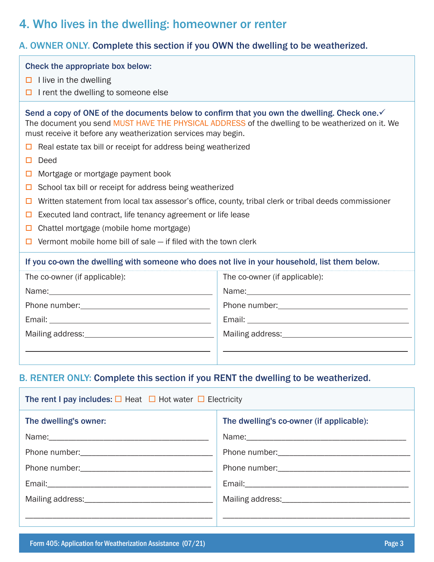### 4. Who lives in the dwelling: homeowner or renter

### A. OWNER ONLY. Complete this section if you OWN the dwelling to be weatherized.

| Check the appropriate box below:<br>$\Box$ I live in the dwelling<br>I rent the dwelling to someone else                                                                                                                                                                                                                                                                                                                        |                                                                                            |  |  |
|---------------------------------------------------------------------------------------------------------------------------------------------------------------------------------------------------------------------------------------------------------------------------------------------------------------------------------------------------------------------------------------------------------------------------------|--------------------------------------------------------------------------------------------|--|--|
| Send a copy of ONE of the documents below to confirm that you own the dwelling. Check one.√<br>The document you send MUST HAVE THE PHYSICAL ADDRESS of the dwelling to be weatherized on it. We<br>must receive it before any weatherization services may begin.<br>Real estate tax bill or receipt for address being weatherized<br>□                                                                                          |                                                                                            |  |  |
| Deed<br>□<br>Mortgage or mortgage payment book<br>□<br>School tax bill or receipt for address being weatherized<br>□<br>Written statement from local tax assessor's office, county, tribal clerk or tribal deeds commissioner<br>□<br>Executed land contract, life tenancy agreement or life lease<br>□<br>Chattel mortgage (mobile home mortgage)<br>□<br>Vermont mobile home bill of sale - if filed with the town clerk<br>□ |                                                                                            |  |  |
| If you co-own the dwelling with someone who does not live in your household, list them below.                                                                                                                                                                                                                                                                                                                                   |                                                                                            |  |  |
| The co-owner (if applicable):                                                                                                                                                                                                                                                                                                                                                                                                   | The co-owner (if applicable):<br><u> 1989 - Andrea Stadt Britain, amerikansk politik (</u> |  |  |
| <b>DENTED ANIV, Campleta this section if you DENT the dwalling to be weatherized</b>                                                                                                                                                                                                                                                                                                                                            |                                                                                            |  |  |

#### B. RENTER ONLY: Complete this section if you RENT the dwelling to be weatherized.

| The rent I pay includes: $\Box$ Heat $\Box$ Hot water $\Box$ Electricity |                                          |  |  |  |
|--------------------------------------------------------------------------|------------------------------------------|--|--|--|
| The dwelling's owner:                                                    | The dwelling's co-owner (if applicable): |  |  |  |
|                                                                          |                                          |  |  |  |
|                                                                          |                                          |  |  |  |
|                                                                          |                                          |  |  |  |
|                                                                          |                                          |  |  |  |
|                                                                          |                                          |  |  |  |
|                                                                          |                                          |  |  |  |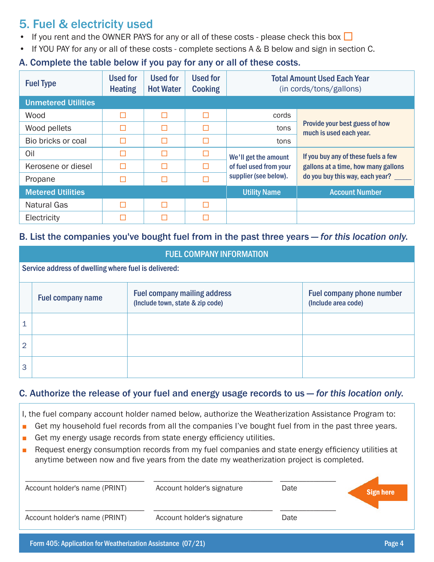# 5. Fuel & electricity used

- If you rent and the OWNER PAYS for any or all of these costs please check this box  $\Box$
- If YOU PAY for any or all of these costs complete sections A & B below and sign in section C.

### A. Complete the table below if you pay for any or all of these costs.

| <b>Fuel Type</b>           | <b>Used for</b><br><b>Heating</b> | <b>Used for</b><br><b>Hot Water</b> | <b>Used for</b><br><b>Cooking</b> | <b>Total Amount Used Each Year</b><br>(in cords/tons/gallons) |                                                           |
|----------------------------|-----------------------------------|-------------------------------------|-----------------------------------|---------------------------------------------------------------|-----------------------------------------------------------|
| <b>Unmetered Utilities</b> |                                   |                                     |                                   |                                                               |                                                           |
| Wood                       | Г                                 | П                                   | П                                 | cords                                                         |                                                           |
| Wood pellets               | г                                 | П                                   | П                                 | tons                                                          | Provide your best guess of how<br>much is used each year. |
| Bio bricks or coal         | г                                 | П                                   | П                                 | tons                                                          |                                                           |
| Oil                        | Г                                 | П                                   |                                   | We'll get the amount                                          | If you buy any of these fuels a few                       |
| Kerosene or diesel         | П                                 | П                                   |                                   | of fuel used from your                                        | gallons at a time, how many gallons                       |
| Propane                    | Г                                 | П                                   |                                   | supplier (see below).                                         | do you buy this way, each year?                           |
| <b>Metered Utilities</b>   |                                   |                                     |                                   | <b>Utility Name</b>                                           | <b>Account Number</b>                                     |
| <b>Natural Gas</b>         | Г                                 | П                                   | П                                 |                                                               |                                                           |
| Electricity                |                                   |                                     |                                   |                                                               |                                                           |

#### B. List the companies you've bought fuel from in the past three years — *for this location only*.

|   | <b>FUEL COMPANY INFORMATION</b>                      |                                                                         |                                                  |  |  |  |  |
|---|------------------------------------------------------|-------------------------------------------------------------------------|--------------------------------------------------|--|--|--|--|
|   | Service address of dwelling where fuel is delivered: |                                                                         |                                                  |  |  |  |  |
|   | <b>Fuel company name</b>                             | <b>Fuel company mailing address</b><br>(Include town, state & zip code) | Fuel company phone number<br>(Include area code) |  |  |  |  |
|   |                                                      |                                                                         |                                                  |  |  |  |  |
| 2 |                                                      |                                                                         |                                                  |  |  |  |  |
| 3 |                                                      |                                                                         |                                                  |  |  |  |  |

#### C. Authorize the release of your fuel and energy usage records to us — *for this location only*.

I, the fuel company account holder named below, authorize the Weatherization Assistance Program to:

- Get my household fuel records from all the companies I've bought fuel from in the past three years.
- Get my energy usage records from state energy efficiency utilities.
- Request energy consumption records from my fuel companies and state energy efficiency utilities at anytime between now and five years from the date my weatherization project is completed.

| Account holder's name (PRINT) | Account holder's signature | Date | <b>Sign here</b> |
|-------------------------------|----------------------------|------|------------------|
| Account holder's name (PRINT) | Account holder's signature | Date |                  |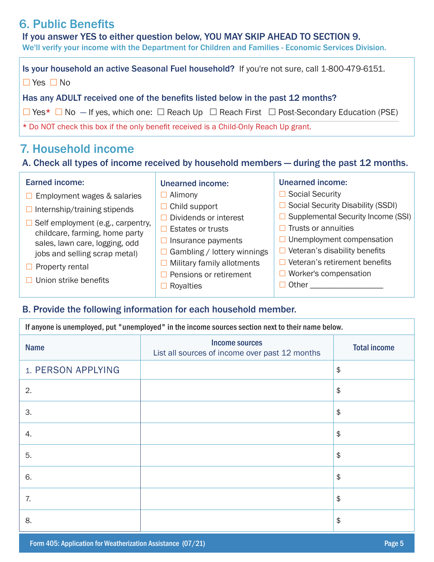# 6. Public Benefits

If you answer YES to either question below, YOU MAY SKIP AHEAD TO SECTION 9.

We'll verify your income with the Department for Children and Families - Economic Services Division.

Is your household an active Seasonal Fuel household? If you're not sure, call 1-800-479-6151.  $\Box$  Yes  $\Box$  No Has any ADULT received one of the benefits listed below in the past 12 months?  $\Box$  Yes\*  $\Box$  No  $-$  If yes, which one:  $\Box$  Reach Up  $\Box$  Reach First  $\Box$  Post-Secondary Education (PSE) \* Do NOT check this box if the only benefit received is a Child-Only Reach Up grant*.*

### 7. Household income

### A. Check all types of income received by household members — during the past 12 months.

| <b>Earned income:</b>                                                                                        | <b>Unearned income:</b>     | <b>Unearned income:</b>                       |
|--------------------------------------------------------------------------------------------------------------|-----------------------------|-----------------------------------------------|
| Employment wages & salaries                                                                                  | Alimony                     | <b>Social Security</b>                        |
| $\Box$ Internship/training stipends                                                                          | $\Box$ Child support        | Social Security Disability (SSDI)             |
|                                                                                                              | Dividends or interest       | Supplemental Security Income (SSI)            |
| $\Box$ Self employment (e.g., carpentry,<br>childcare, farming, home party<br>sales, lawn care, logging, odd | <b>Estates or trusts</b>    | Trusts or annuities                           |
|                                                                                                              | Insurance payments          | Unemployment compensation<br>$\perp$          |
| jobs and selling scrap metal)                                                                                | Gambling / lottery winnings | Veteran's disability benefits<br>$\mathsf{L}$ |
| Property rental                                                                                              | Military family allotments  | Veteran's retirement benefits                 |
|                                                                                                              | Pensions or retirement      | Worker's compensation                         |
| $\Box$ Union strike benefits                                                                                 | Royalties                   | Other                                         |

#### B. Provide the following information for each household member.

| If anyone is unemployed, put "unemployed" in the income sources section next to their name below. |                                                                         |                        |  |  |
|---------------------------------------------------------------------------------------------------|-------------------------------------------------------------------------|------------------------|--|--|
| <b>Name</b>                                                                                       | <b>Income sources</b><br>List all sources of income over past 12 months | <b>Total income</b>    |  |  |
| 1. PERSON APPLYING                                                                                |                                                                         | $\frac{1}{2}$          |  |  |
| 2.                                                                                                |                                                                         | $\frac{1}{2}$          |  |  |
| 3.                                                                                                |                                                                         | $\frac{1}{2}$          |  |  |
| 4.                                                                                                |                                                                         | $\frac{1}{2}$          |  |  |
| 5.                                                                                                |                                                                         | $\frac{1}{2}$          |  |  |
| 6.                                                                                                |                                                                         | $\frac{1}{2}$          |  |  |
| 7.                                                                                                |                                                                         | $\frac{1}{2}$          |  |  |
| 8.                                                                                                |                                                                         | $\boldsymbol{\varphi}$ |  |  |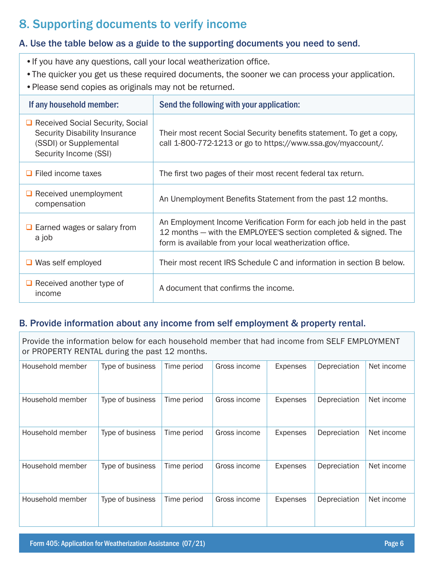# 8. Supporting documents to verify income

#### A. Use the table below as a guide to the supporting documents you need to send.

- •If you have any questions, call your local weatherization office.
- •The quicker you get us these required documents, the sooner we can process your application.
- •Please send copies as originals may not be returned.

| If any household member:                                                                                                      | Send the following with your application:                                                                                                                                                           |
|-------------------------------------------------------------------------------------------------------------------------------|-----------------------------------------------------------------------------------------------------------------------------------------------------------------------------------------------------|
| □ Received Social Security, Social<br><b>Security Disability Insurance</b><br>(SSDI) or Supplemental<br>Security Income (SSI) | Their most recent Social Security benefits statement. To get a copy,<br>call 1-800-772-1213 or go to https://www.ssa.gov/myaccount/.                                                                |
| $\Box$ Filed income taxes                                                                                                     | The first two pages of their most recent federal tax return.                                                                                                                                        |
| $\Box$ Received unemployment<br>compensation                                                                                  | An Unemployment Benefits Statement from the past 12 months.                                                                                                                                         |
| $\Box$ Earned wages or salary from<br>a job                                                                                   | An Employment Income Verification Form for each job held in the past<br>12 months – with the EMPLOYEE'S section completed & signed. The<br>form is available from your local weatherization office. |
| $\Box$ Was self employed                                                                                                      | Their most recent IRS Schedule C and information in section B below.                                                                                                                                |
| $\Box$ Received another type of<br>income                                                                                     | A document that confirms the income.                                                                                                                                                                |

#### B. Provide information about any income from self employment & property rental.

Provide the information below for each household member that had income from SELF EMPLOYMENT or PROPERTY RENTAL during the past 12 months.

| Household member | Type of business | Time period | Gross income | <b>Expenses</b> | Depreciation | Net income |
|------------------|------------------|-------------|--------------|-----------------|--------------|------------|
| Household member | Type of business | Time period | Gross income | <b>Expenses</b> | Depreciation | Net income |
| Household member | Type of business | Time period | Gross income | <b>Expenses</b> | Depreciation | Net income |
| Household member | Type of business | Time period | Gross income | <b>Expenses</b> | Depreciation | Net income |
| Household member | Type of business | Time period | Gross income | <b>Expenses</b> | Depreciation | Net income |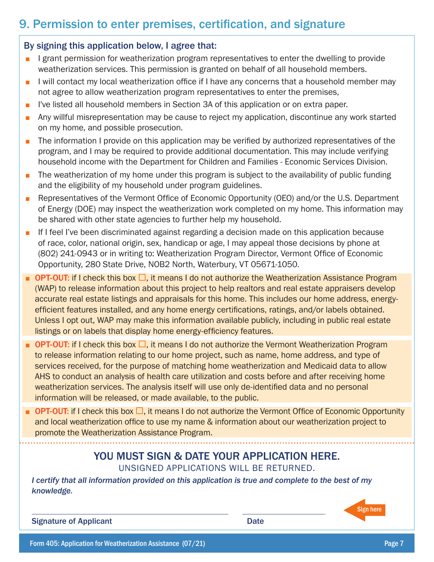# 9. Permission to enter premises, certification, and signature

#### By signing this application below, I agree that:

- I grant permission for weatherization program representatives to enter the dwelling to provide weatherization services. This permission is granted on behalf of all household members.
- I will contact my local weatherization office if I have any concerns that a household member may not agree to allow weatherization program representatives to enter the premises,
- I've listed all household members in Section 3A of this application or on extra paper.
- Any willful misrepresentation may be cause to reject my application, discontinue any work started on my home, and possible prosecution.
- The information I provide on this application may be verified by authorized representatives of the program, and I may be required to provide additional documentation. This may include verifying household income with the Department for Children and Families - Economic Services Division.
- The weatherization of my home under this program is subject to the availability of public funding and the eligibility of my household under program guidelines.
- Representatives of the Vermont Office of Economic Opportunity (OEO) and/or the U.S. Department of Energy (DOE) may inspect the weatherization work completed on my home. This information may be shared with other state agencies to further help my household.
- If I feel I've been discriminated against regarding a decision made on this application because of race, color, national origin, sex, handicap or age, I may appeal those decisions by phone at (802) 241-0943 or in writing to: Weatherization Program Director, Vermont Office of Economic Opportunity, 280 State Drive, NOB2 North, Waterbury, VT 05671-1050.
- **OPT-OUT:** if I check this box  $\Box$ , it means I do not authorize the Weatherization Assistance Program (WAP) to release information about this project to help realtors and real estate appraisers develop accurate real estate listings and appraisals for this home. This includes our home address, energyefficient features installed, and any home energy certifications, ratings, and/or labels obtained. Unless I opt out, WAP may make this information available publicly, including in public real estate listings or on labels that display home energy-efficiency features.
- **OPT-OUT:** if I check this box  $\Box$ , it means I do not authorize the Vermont Weatherization Program to release information relating to our home project, such as name, home address, and type of services received, for the purpose of matching home weatherization and Medicaid data to allow AHS to conduct an analysis of health care utilization and costs before and after receiving home weatherization services. The analysis itself will use only de-identified data and no personal information will be released, or made available, to the public.
- **OPT-OUT:** if I check this box  $\Box$ , it means I do not authorize the Vermont Office of Economic Opportunity and local weatherization office to use my name & information about our weatherization project to promote the Weatherization Assistance Program.

### YOU MUST SIGN & DATE YOUR APPLICATION HERE. UNSIGNED APPLICATIONS WILL BE RETURNED.

*I certify that all information provided on this application is true and complete to the best of my knowledge.* 

Signature of Applicant Date Controller and Date Date